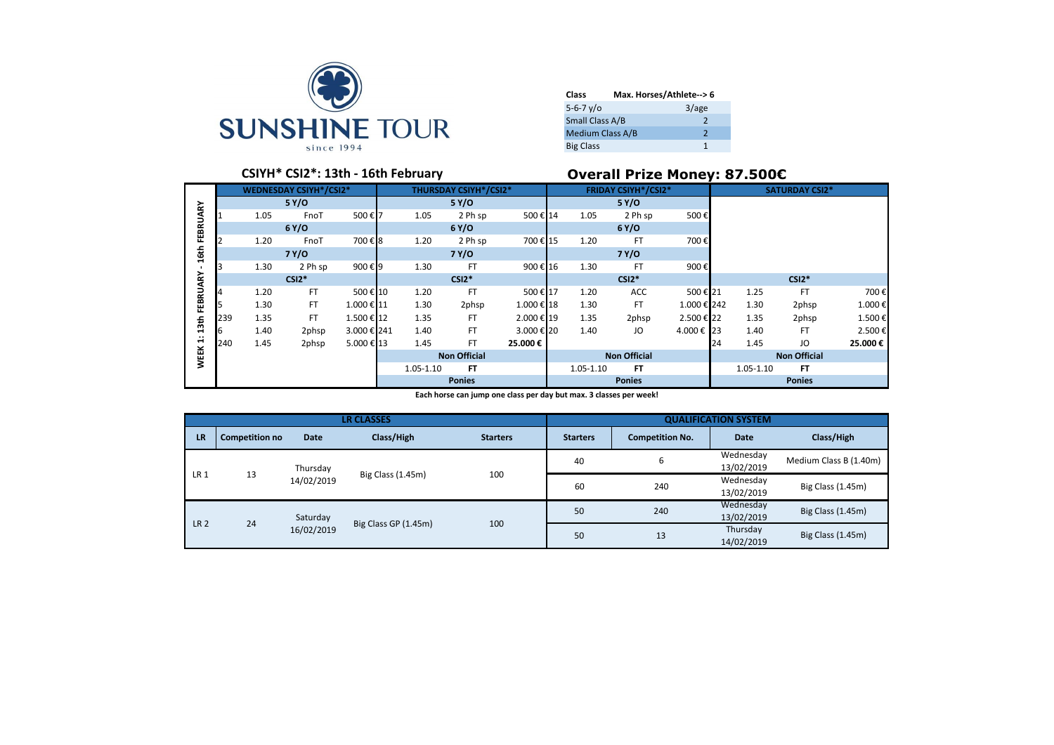

| Class                |                         | Max. Horses/Athlete--> 6 |
|----------------------|-------------------------|--------------------------|
| $5 - 6 - 7 \sqrt{0}$ |                         | 3/age                    |
| Small Class A/B      |                         | $\mathcal{P}$            |
|                      | <b>Medium Class A/B</b> | 2                        |
| <b>Big Class</b>     |                         |                          |

# **CSIYH\* CSI2\*: 13th - 16th February Overall Prize Money: 87.500€**

|                  |     |      | <b>WEDNESDAY CSIYH*/CSI2*</b> |             |                      |      | <b>THURSDAY CSIYH*/CSI2*</b> |                     | <b>FRIDAY CSIYH*/CSI2*</b> |      |           |             | <b>SATURDAY CSI2*</b> |                     |           |         |
|------------------|-----|------|-------------------------------|-------------|----------------------|------|------------------------------|---------------------|----------------------------|------|-----------|-------------|-----------------------|---------------------|-----------|---------|
|                  |     |      |                               |             |                      |      |                              |                     |                            |      |           |             |                       |                     |           |         |
|                  |     |      | 5 Y/O                         |             |                      |      | 5 Y/O                        |                     |                            |      | 5 Y/O     |             |                       |                     |           |         |
|                  |     | 1.05 | FnoT                          | 500€7       |                      | 1.05 | 2 Ph sp                      | 500€ 14             |                            | 1.05 | 2 Ph sp   | 500€        |                       |                     |           |         |
| FEBRUARY         |     |      | 6Y/O                          |             |                      |      | 6Y/O                         |                     |                            |      | 6Y/O      |             |                       |                     |           |         |
|                  |     | 1.20 | FnoT                          | 700€8       |                      | 1.20 | 2 Ph sp                      | 700€ 15             |                            | 1.20 | <b>FT</b> | 700€        |                       |                     |           |         |
| 16th             |     |      | 7 Y/O                         |             |                      |      | 7 Y/O                        |                     |                            |      | 7 Y/O     |             |                       |                     |           |         |
|                  |     | 1.30 | 2 Ph sp                       | 900€9       |                      | 1.30 | <b>FT</b>                    | 900€ 16             |                            | 1.30 | FT        | 900€        |                       |                     |           |         |
| FEBRUARY         |     |      | $CSI2*$                       |             |                      |      | $CSI2*$                      |                     |                            |      | $CSI2*$   |             |                       |                     | $CSI2*$   |         |
|                  |     | 1.20 | <b>FT</b>                     | 500€ 10     |                      | 1.20 | <b>FT</b>                    | 500€ 17             |                            | 1.20 | ACC       | 500€21      |                       | 1.25                | <b>FT</b> | 700€    |
|                  |     | 1.30 | <b>FT</b>                     | 1.000 € 11  |                      | 1.30 | 2phsp                        | 1.000 € 18          |                            | 1.30 | FT        | 1.000 € 242 |                       | 1.30                | 2phsp     | 1.000€  |
| 13 <sub>th</sub> | 239 | 1.35 | FT.                           | 1.500 € 12  |                      | 1.35 | FT                           | 2.000 € 19          |                            | 1.35 | 2phsp     | 2.500 € 22  |                       | 1.35                | 2phsp     | 1.500€  |
|                  | 6   | 1.40 | 2phsp                         | 3.000 € 241 |                      | 1.40 | <b>FT</b>                    | 3.000 € 20          |                            | 1.40 | JO        | 4.000 € 23  |                       | 1.40                | <b>FT</b> | 2.500€  |
| $\div$           | 240 | 1.45 | 2phsp                         | 5.000€ 13   |                      | 1.45 | <b>FT</b>                    | 25.000€             |                            |      |           |             | 24                    | 1.45                | JO        | 25.000€ |
| <b>WEEK</b>      |     |      |                               |             | <b>Non Official</b>  |      |                              | <b>Non Official</b> |                            |      |           |             |                       | <b>Non Official</b> |           |         |
|                  |     |      |                               |             | FT.<br>$1.05 - 1.10$ |      |                              |                     | 1.05-1.10                  | FT.  |           |             | $1.05 - 1.10$         | <b>FT</b>           |           |         |
|                  |     |      |                               |             | <b>Ponies</b>        |      |                              |                     | <b>Ponies</b>              |      |           |             | <b>Ponies</b>         |                     |           |         |

**Each horse can jump one class per day but max. 3 classes per week!**

|                 |                       |             | <b>LR CLASSES</b>    |                 |                 |                        | <b>QUALIFICATION SYSTEM</b> |                        |                         |                   |
|-----------------|-----------------------|-------------|----------------------|-----------------|-----------------|------------------------|-----------------------------|------------------------|-------------------------|-------------------|
| <b>LR</b>       | <b>Competition no</b> | <b>Date</b> | Class/High           | <b>Starters</b> | <b>Starters</b> | <b>Competition No.</b> | <b>Date</b>                 | Class/High             |                         |                   |
|                 |                       | Thursday    |                      |                 | 40              | 6                      | Wednesday<br>13/02/2019     | Medium Class B (1.40m) |                         |                   |
| LR <sub>1</sub> | 13                    | 14/02/2019  | Big Class (1.45m)    | 100             | 60              | 240                    | Wednesday<br>13/02/2019     | Big Class (1.45m)      |                         |                   |
|                 |                       | Saturday    |                      |                 |                 |                        | 50                          | 240                    | Wednesday<br>13/02/2019 | Big Class (1.45m) |
| LR <sub>2</sub> | 24                    | 16/02/2019  | Big Class GP (1.45m) | 100             | 50              | 13                     | Thursday<br>14/02/2019      | Big Class (1.45m)      |                         |                   |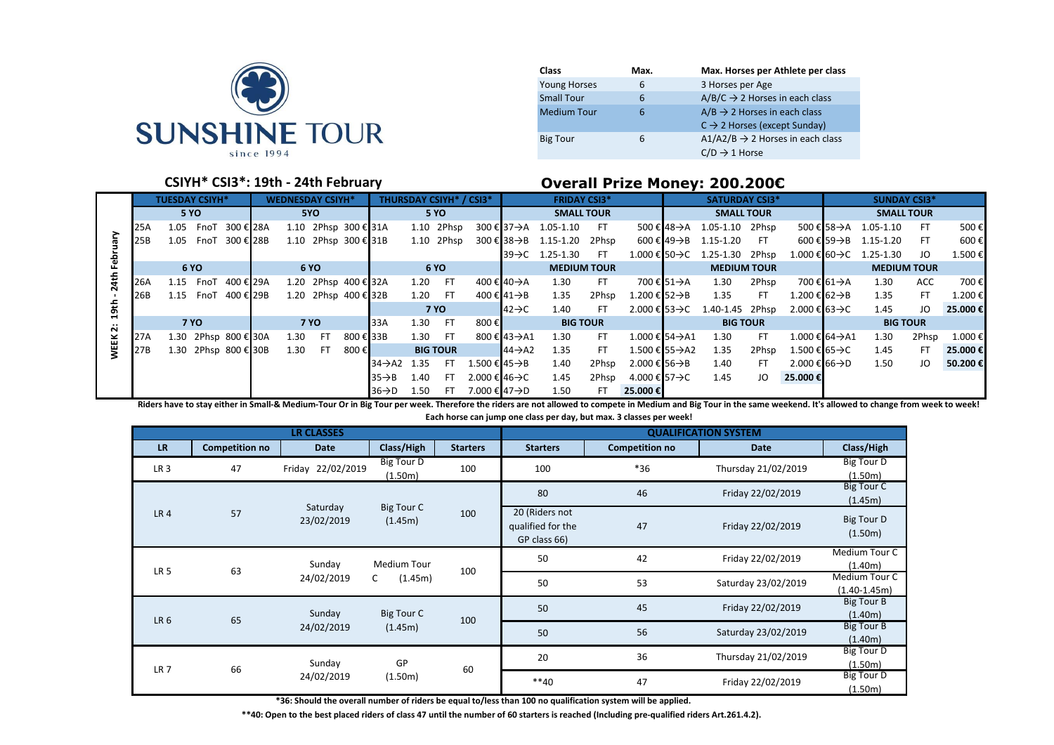

| Class               | Max. | Max. Horses per Athlete per class            |
|---------------------|------|----------------------------------------------|
| <b>Young Horses</b> | 6    | 3 Horses per Age                             |
| <b>Small Tour</b>   | 6    | $A/B/C \rightarrow 2$ Horses in each class   |
| <b>Medium Tour</b>  | 6    | $A/B \rightarrow 2$ Horses in each class     |
|                     |      | $C \rightarrow 2$ Horses (except Sunday)     |
| <b>Big Tour</b>     | 6    | $A1/A2/B \rightarrow 2$ Horses in each class |
|                     |      | $C/D \rightarrow 1$ Horse                    |

## **CSIYH\* CSI3\*: 19th - 24th February Overall Prize Money: 200.200€**

|               |     | <b>TUESDAY CSIYH*</b> |  |  |  | <b>WEDNESDAY CSIYH*</b> |                      |           |                          |      |                 | <b>THURSDAY CSIYH* / CSI3*</b> |                          | <b>FRIDAY CSI3*</b>                         |       |                            |             | <b>SATURDAY CSI3*</b>                        |       |                            |            | <b>SUNDAY CSI3*</b>                    |           |         |
|---------------|-----|-----------------------|--|--|--|-------------------------|----------------------|-----------|--------------------------|------|-----------------|--------------------------------|--------------------------|---------------------------------------------|-------|----------------------------|-------------|----------------------------------------------|-------|----------------------------|------------|----------------------------------------|-----------|---------|
|               |     | <b>5 YO</b>           |  |  |  |                         | 5YO                  |           |                          |      | <b>5 YO</b>     |                                |                          | <b>SMALL TOUR</b>                           |       |                            |             | <b>SMALL TOUR</b>                            |       |                            |            | <b>SMALL TOUR</b>                      |           |         |
|               | 25A | 1.05 FnoT 300 € 28A   |  |  |  |                         | 1.10 2Phsp 300 € 31A |           |                          |      | 1.10 2Phsp      |                                |                          | $300 \text{ € } 37 \rightarrow A$ 1.05-1.10 | FT.   |                            | 500 € 48->A | 1.05-1.10 2Phsp                              |       |                            |            | 500 € 58 $\rightarrow$ A 1.05-1.10     | -FT       | 500€    |
|               | 25B | 1.05 FnoT 300 € 28B   |  |  |  |                         | 1.10 2Phsp 300 € 31B |           |                          |      | 1.10 2Phsp      |                                |                          | $300 \text{ € } 38 \rightarrow B$ 1.15-1.20 | 2Phsp |                            | 600 € 49→B  | 1.15-1.20                                    | - FT  |                            |            | $600 \in 59 \rightarrow B$ 1.15-1.20   | -FT       | 600€    |
|               |     |                       |  |  |  |                         |                      |           |                          |      |                 |                                |                          | $39 \rightarrow C$ 1.25-1.30                | FT.   |                            |             | $1.000 \in 50 \rightarrow C$ 1.25-1.30 2Phsp |       |                            |            | $1.000 \in 60 \rightarrow C$ 1.25-1.30 | JO        | 1.500 € |
|               |     | 6 YO                  |  |  |  |                         | 6 YO                 |           |                          |      | <b>6 YO</b>     |                                |                          | <b>MEDIUM TOUR</b>                          |       |                            |             | <b>MEDIUM TOUR</b>                           |       |                            |            | <b>MEDIUM TOUR</b>                     |           |         |
|               | 26A | 1.15 FnoT 400 € 29A   |  |  |  |                         | 1.20 2Phsp 400 € 32A |           |                          | 1.20 | FT.             |                                | 400 € 40 $\rightarrow$ A | 1.30                                        | FT.   |                            | 700 € 51→A  | 1.30                                         | 2Phsp |                            | 700 € 61→A | 1.30                                   | ACC       | 700€    |
|               | 26B | 1.15 FnoT 400 € 29B   |  |  |  |                         | 1.20 2Phsp 400 € 32B |           |                          | 1.20 | - FT            |                                | 400 € 41→B               | 1.35                                        | 2Phsp | 1.200 € 52 $\rightarrow$ B |             | 1.35                                         | FT.   | 1.200 € 62 $\rightarrow$ B |            | 1.35                                   | <b>FT</b> | 1.200€  |
| $\frac{4}{3}$ |     |                       |  |  |  |                         |                      |           |                          |      | <b>7 YO</b>     |                                | $42 \rightarrow C$       | 1.40                                        | FT    | 2.000 € 53→C               |             | 1.40-1.45 2Phsp                              |       | 2.000 € 63→C               |            | 1.45                                   | JO        | 25.000€ |
| <br>$\sim$    |     | <b>7 YO</b>           |  |  |  |                         | <b>7 YO</b>          |           | I <sub>33A</sub>         | 1.30 | - FT            | 800€                           |                          | <b>BIG TOUR</b>                             |       |                            |             | <b>BIG TOUR</b>                              |       |                            |            | <b>BIG TOUR</b>                        |           |         |
| 盖             | 27A | 1.30 2Phsp 800 € 30A  |  |  |  | 1.30                    | FT.                  | 800 € 33B |                          | 1.30 | FT.             |                                | 800 € 43->A1             | 1.30                                        | FT.   | 1.000 € 54 A1              |             | 1.30                                         | FT.   | 1.000 € 64 -> A1           |            | 1.30                                   | 2Phsp     | 1.000€  |
|               | 27B | 1.30 2Phsp 800 € 30B  |  |  |  | 1.30                    | FT.                  | 800€      |                          |      | <b>BIG TOUR</b> |                                | $144 \rightarrow A2$     | 1.35                                        | FT.   | 1.500 € 55 A2              |             | 1.35                                         | 2Phsp | 1.500 € 65 $\rightarrow$ C |            | 1.45                                   | FT        | 25.000€ |
|               |     |                       |  |  |  |                         |                      |           | $34 \rightarrow A2$ 1.35 |      | FT.             | 1.500 € 45 AB                  |                          | 1.40                                        | 2Phsp | 2.000 € 56 $\rightarrow$ B |             | 1.40                                         | FT.   | 2.000 € 66 $\rightarrow$ D |            | 1.50                                   | JO        | 50.200€ |
|               |     |                       |  |  |  |                         |                      |           | $35 \rightarrow B$       | 1.40 | FT.             | 2.000 € 46 $\rightarrow$ C     |                          | 1.45                                        | 2Phsp | 4.000 € 57→C               |             | 1.45                                         | JO    | 25.000 €                   |            |                                        |           |         |
|               |     |                       |  |  |  |                         |                      |           | $36 \rightarrow D$       | 1.50 | FT.             | 7.000 € 47→D                   |                          | 1.50                                        | FT.   | 25.000€                    |             |                                              |       |                            |            |                                        |           |         |

Riders have to stay either in Small-& Medium-Tour Or in Big Tour per week. Therefore the riders are not allowed to compete in Medium and Big Tour in the same weekend. It's allowed to change from week to week! **Each horse can jump one class per day, but max. 3 classes per week!**

|                 |                       | <b>LR CLASSES</b>      |                       |                 |                                                     |                       | <b>QUALIFICATION SYSTEM</b> |                                   |
|-----------------|-----------------------|------------------------|-----------------------|-----------------|-----------------------------------------------------|-----------------------|-----------------------------|-----------------------------------|
| <b>LR</b>       | <b>Competition no</b> | <b>Date</b>            | Class/High            | <b>Starters</b> | <b>Starters</b>                                     | <b>Competition no</b> | <b>Date</b>                 | Class/High                        |
| LR <sub>3</sub> | 47                    | Friday 22/02/2019      | Big Tour D<br>(1.50m) | 100             | 100                                                 | $*36$                 | Thursday 21/02/2019         | Big Tour D<br>(1.50m)             |
|                 |                       |                        |                       |                 | 80                                                  | 46                    | Friday 22/02/2019           | Big Tour C<br>(1.45m)             |
| LR <sub>4</sub> | 57                    | Saturday<br>23/02/2019 | Big Tour C<br>(1.45m) | 100             | 20 (Riders not<br>qualified for the<br>GP class 66) | 47                    | Friday 22/02/2019           | Big Tour D<br>(1.50m)             |
|                 |                       | Sunday                 | Medium Tour           |                 | 50                                                  | 42                    | Friday 22/02/2019           | Medium Tour C<br>(1.40m)          |
| LR <sub>5</sub> | 63                    | 24/02/2019             | C<br>(1.45m)          | 100             | 50                                                  | 53                    | Saturday 23/02/2019         | Medium Tour C<br>$(1.40 - 1.45m)$ |
| LR <sub>6</sub> | 65                    | Sunday                 | Big Tour C            | 100             | 50                                                  | 45                    | Friday 22/02/2019           | Big Tour B<br>(1.40m)             |
|                 |                       | 24/02/2019             | (1.45m)               |                 | 50                                                  | 56                    | Saturday 23/02/2019         | <b>Big Tour B</b><br>(1.40m)      |
| LR <sub>7</sub> |                       | Sunday<br>66           |                       | 60              | 20                                                  | 36                    | Thursday 21/02/2019         | <b>Big Tour D</b><br>(1.50m)      |
|                 |                       | 24/02/2019             | (1.50m)               |                 | $**40$                                              | 47                    | Friday 22/02/2019           | <b>Big Tour D</b><br>(1.50m)      |

**\*36: Should the overall number of riders be equal to/less than 100 no qualification system will be applied.**

**\*\*40: Open to the best placed riders of class 47 until the number of 60 starters is reached (Including pre-qualified riders Art.261.4.2).**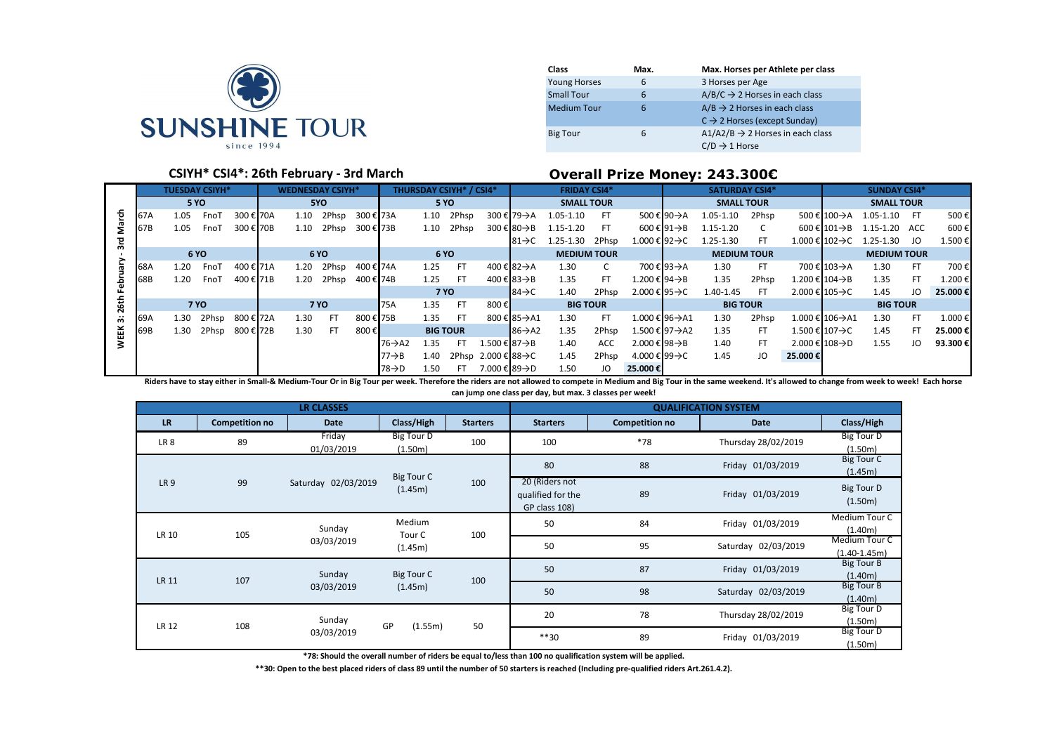

| Class               | Max. | Max. Horses per Athlete per class            |
|---------------------|------|----------------------------------------------|
| <b>Young Horses</b> | 6    | 3 Horses per Age                             |
| <b>Small Tour</b>   | 6    | $A/B/C \rightarrow 2$ Horses in each class   |
| <b>Medium Tour</b>  | 6    | $A/B \rightarrow 2$ Horses in each class     |
|                     |      | $C \rightarrow 2$ Horses (except Sunday)     |
| <b>Big Tour</b>     | 6    | $A1/A2/B \rightarrow 2$ Horses in each class |
|                     |      | $C/D \rightarrow 1$ Horse                    |

### **CSIYH\* CSI4\*: 26th February - 3rd March Overall Prize Money: 243.300€**

|             |     |      |                       |           |  |                         |             |           |                    |                 |                                |                     |                     |                     |       |                |             | <u> Jidhii Ilay Muufi 27319000</u> |                |                 |                 |                                            |     |         |
|-------------|-----|------|-----------------------|-----------|--|-------------------------|-------------|-----------|--------------------|-----------------|--------------------------------|---------------------|---------------------|---------------------|-------|----------------|-------------|------------------------------------|----------------|-----------------|-----------------|--------------------------------------------|-----|---------|
|             |     |      | <b>TUESDAY CSIYH*</b> |           |  | <b>WEDNESDAY CSIYH*</b> |             |           |                    |                 | <b>THURSDAY CSIYH* / CSI4*</b> |                     |                     | <b>FRIDAY CSI4*</b> |       |                |             | <b>SATURDAY CSI4*</b>              |                |                 |                 | <b>SUNDAY CSI4*</b>                        |     |         |
|             |     |      | <b>5 YO</b>           |           |  |                         | 5YO         |           |                    | <b>5 YO</b>     |                                |                     |                     | <b>SMALL TOUR</b>   |       |                |             | <b>SMALL TOUR</b>                  |                |                 |                 | <b>SMALL TOUR</b>                          |     |         |
| ᠊ᠲ          | 67A | 1.05 | FnoT                  | 300 € 70A |  | 1.10                    | 2Phsp       | 300 € 73A |                    | 1.10            | 2Phsp                          |                     | 300 € 79->A         | 1.05-1.10           | FT.   |                | 500 € 90->A | 1.05-1.10                          | 2Phsp          |                 | 500 € 100→A     | 1.05-1.10 FT                               |     | 500€    |
|             | 67B | 1.05 | FnoT                  | 300 € 70B |  | 1.10                    | 2Phsp       | 300 € 73B |                    | 1.10            | 2Phsp                          |                     | 300 € 80→B          | 1.15-1.20           | FT.   |                | 600 € 91→B  | 1.15-1.20                          | $\overline{C}$ |                 |                 | $600 \in 101 \rightarrow B$ 1.15-1.20 ACC  |     | 600€    |
| 은           |     |      |                       |           |  |                         |             |           |                    |                 |                                |                     | $81 \rightarrow C$  | 1.25-1.30 2Phsp     |       | 1.000 € 92→C   |             | 1.25-1.30                          | FT.            |                 |                 | $1.000 \in 102 \rightarrow C$ 1.25-1.30 JO |     | 1.500 € |
|             |     |      | 6 YO                  |           |  |                         | 6 YO        |           |                    | 6 YO            |                                |                     |                     | <b>MEDIUM TOUR</b>  |       |                |             | <b>MEDIUM TOUR</b>                 |                |                 |                 | <b>MEDIUM TOUR</b>                         |     |         |
|             | 68A | 1.20 | FnoT                  | 400 € 71A |  | 1.20                    | 2Phsp       | 400 € 74A |                    | 1.25            | <b>FT</b>                      |                     | 400 € 82→A          | 1.30                | C     |                | 700 € 93->A | 1.30                               | FT.            |                 | 700 € 103→A     | 1.30                                       | FT. | 700€    |
|             | 68B | 1.20 | FnoT                  | 400 € 71B |  | 1.20                    | 2Phsp       | 400 € 74B |                    | 1.25            | <b>FT</b>                      |                     | 400 € 83 AB         | 1.35                | FT.   | 1.200 € 94→B   |             | 1.35                               | 2Phsp          | 1.200 € 104 → B |                 | 1.35                                       | FT. | 1.200€  |
|             |     |      |                       |           |  |                         |             |           |                    | <b>7 YO</b>     |                                |                     | $84 \rightarrow C$  | 1.40                | 2Phsp | 2.000 € 95→C   |             | 1.40-1.45                          | FT.            | 2.000 € 105→C   |                 | 1.45                                       | JO  | 25,000€ |
| 26th        |     |      | <b>7 YO</b>           |           |  |                         | <b>7 YO</b> |           | <b>75A</b>         | 1.35            | - FT                           | 800€                |                     | <b>BIG TOUR</b>     |       |                |             | <b>BIG TOUR</b>                    |                |                 |                 | <b>BIG TOUR</b>                            |     |         |
| άŕ.         | 69A | 1.30 | 2Phsp                 | 800 € 72A |  | 1.30                    | <b>FT</b>   | 800 € 75B |                    | 1.35            | - FT                           |                     | 800 € 85→A1         | 1.30                | FT.   | 1.000 € 96->A1 |             | 1.30                               | 2Phsp          |                 | 1.000 € 106->A1 | 1.30                                       | FT. | 1.000 € |
| <b>WEEK</b> | 69B | 1.30 | 2Phsp                 | 800 € 72B |  | 1.30                    | FT.         | 800€      |                    | <b>BIG TOUR</b> |                                |                     | $86 \rightarrow A2$ | 1.35                | 2Phsp | 1.500 € 97→A2  |             | 1.35                               | FT.            | 1.500 € 107→C   |                 | 1.45                                       | FT. | 25.000€ |
|             |     |      |                       |           |  |                         |             |           | 76→A2              | 1.35            | FT.                            | 1.500 € 87→B        |                     | 1.40                | ACC   | 2.000 € 98→B   |             | 1.40                               | FT.            | 2.000 € 108->D  |                 | 1.55                                       | JO  | 93.300€ |
|             |     |      |                       |           |  |                         |             |           | $77 \rightarrow B$ | 1.40            |                                | 2Phsp 2.000 € 88->C |                     | 1.45                | 2Phsp | 4.000 € 99 → C |             | 1.45                               | JO             | 25.000€         |                 |                                            |     |         |
|             |     |      |                       |           |  |                         |             |           | 78→D               | 1.50            | FT.                            | 7.000 € 89→D        |                     | 1.50                | JO    | 25.000€        |             |                                    |                |                 |                 |                                            |     |         |

Riders have to stay either in Small-& Medium-Tour Or in Big Tour per week. Therefore the riders are not allowed to compete in Medium and Big Tour in the same weekend. It's allowed to change from week to week! Each horse **can jump one class per day, but max. 3 classes per week!**

|                 |                       | <b>LR CLASSES</b>    |                              |                 |                                                      |                       | <b>QUALIFICATION SYSTEM</b> |                                 |
|-----------------|-----------------------|----------------------|------------------------------|-----------------|------------------------------------------------------|-----------------------|-----------------------------|---------------------------------|
| <b>LR</b>       | <b>Competition no</b> | <b>Date</b>          | Class/High                   | <b>Starters</b> | <b>Starters</b>                                      | <b>Competition no</b> | <b>Date</b>                 | Class/High                      |
| LR <sub>8</sub> | 89                    | Friday<br>01/03/2019 | <b>Big Tour D</b><br>(1.50m) | 100             | 100                                                  | $*78$                 | Thursday 28/02/2019         | <b>Big Tour D</b><br>(1.50m)    |
|                 |                       |                      | Big Tour C                   |                 | 80                                                   | 88                    | Friday 01/03/2019           | <b>Big Tour C</b><br>(1.45m)    |
| <b>LR9</b>      | 99                    | Saturday 02/03/2019  | (1.45m)                      | 100             | 20 (Riders not<br>qualified for the<br>GP class 108) | 89                    | Friday 01/03/2019           | Big Tour D<br>(1.50m)           |
| LR 10           |                       | Sunday               | Medium                       |                 | 50                                                   | 84                    | Friday 01/03/2019           | Medium Tour C<br>(1.40m)        |
|                 | 105                   | 03/03/2019           | Tour C<br>(1.45m)            | 100             | 50                                                   | 95                    | Saturday 02/03/2019         | Medium Tour C<br>$(1.40-1.45m)$ |
| <b>LR 11</b>    | 107                   | Sunday               | Big Tour C                   |                 | 50                                                   | 87                    | Friday 01/03/2019           | <b>Big Tour B</b><br>(1.40m)    |
|                 |                       | 03/03/2019           | (1.45m)                      | 100             | 50                                                   | 98                    | Saturday 02/03/2019         | <b>Big Tour B</b><br>(1.40m)    |
|                 | 108                   | Sunday               | GP<br>(1.55m)                | 50              | 20                                                   | 78                    | Thursday 28/02/2019         | <b>Big Tour D</b><br>(1.50m)    |
| LR 12           |                       | 03/03/2019           |                              |                 | $***30$                                              | 89                    | Friday 01/03/2019           | <b>Big Tour D</b><br>(1.50m)    |

**\*78: Should the overall number of riders be equal to/less than 100 no qualification system will be applied.**

**\*\*30: Open to the best placed riders of class 89 until the number of 50 starters is reached (Including pre-qualified riders Art.261.4.2).**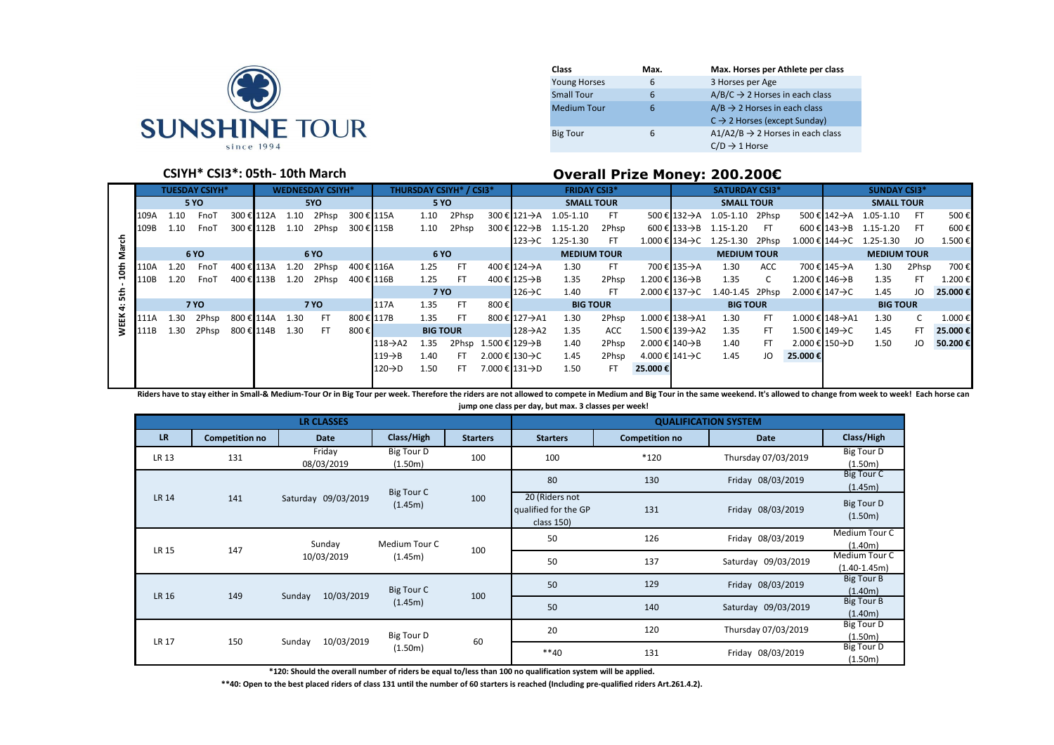

| Class               | Max. | Max. Horses per Athlete per class                                                    |
|---------------------|------|--------------------------------------------------------------------------------------|
| <b>Young Horses</b> | 6    | 3 Horses per Age                                                                     |
| <b>Small Tour</b>   | 6    | $A/B/C \rightarrow 2$ Horses in each class                                           |
| <b>Medium Tour</b>  | 6    | $A/B \rightarrow 2$ Horses in each class<br>$C \rightarrow 2$ Horses (except Sunday) |
| <b>Big Tour</b>     | 6    | $A1/A2/B \rightarrow 2$ Horses in each class<br>$C/D \rightarrow 1$ Horse            |

## **CSIYH\* CSI3\*: 05th- 10th March Overall Prize Money: 200.200€**

|            |      |      |                       |            |  |      |                         |            |                      | - <b>.</b> . -  |                                |                                   |                             |                                              |            |                             |                                |                                               |     |               |                               |                                       |       |         |
|------------|------|------|-----------------------|------------|--|------|-------------------------|------------|----------------------|-----------------|--------------------------------|-----------------------------------|-----------------------------|----------------------------------------------|------------|-----------------------------|--------------------------------|-----------------------------------------------|-----|---------------|-------------------------------|---------------------------------------|-------|---------|
|            |      |      | <b>TUESDAY CSIYH*</b> |            |  |      | <b>WEDNESDAY CSIYH*</b> |            |                      |                 | <b>THURSDAY CSIYH* / CSI3*</b> |                                   |                             | <b>FRIDAY CSI3*</b>                          |            |                             |                                | <b>SATURDAY CSI3*</b>                         |     |               |                               | <b>SUNDAY CSI3*</b>                   |       |         |
|            |      |      | <b>5 YO</b>           |            |  |      | 5YO                     |            |                      |                 | <b>5 YO</b>                    |                                   |                             | <b>SMALL TOUR</b>                            |            |                             |                                | <b>SMALL TOUR</b>                             |     |               |                               | <b>SMALL TOUR</b>                     |       |         |
|            | 109A | 1.10 | FnoT                  | 300 € 112A |  | 1.10 | 2Phsp                   | 300 € 115A |                      | 1.10            | 2Phsp                          |                                   | 300 € 121→A                 | 1.05-1.10                                    | FT.        |                             |                                | $500 \in 132 \rightarrow A$ 1.05-1.10 2Phsp   |     |               |                               | $500 \in 142 \rightarrow A$ 1.05-1.10 | FT.   | 500€    |
|            | 109B | 1.10 | FnoT                  | 300 € 112B |  | 1.10 | 2Phsp                   | 300 € 115B |                      | 1.10            | 2Phsp                          |                                   |                             | $300 \text{ € } 122 \rightarrow B$ 1.15-1.20 | 2Phsp      |                             |                                | $600 \in 133 \rightarrow B$ 1.15-1.20 FT      |     |               |                               | $600 \in 143 \rightarrow B$ 1.15-1.20 | FT.   | 600€    |
| March      |      |      |                       |            |  |      |                         |            |                      |                 |                                |                                   | $123 \rightarrow C$         | 1.25-1.30                                    | FT.        |                             |                                | $1.000 \in 134 \rightarrow C$ 1.25-1.30 2Phsp |     |               | 1.000 € 144→C                 | 1.25-1.30                             | JO    | 1.500€  |
|            |      |      | 6 YO                  |            |  |      | 6 YO                    |            |                      | <b>6 YO</b>     |                                |                                   |                             | <b>MEDIUM TOUR</b>                           |            |                             |                                | <b>MEDIUM TOUR</b>                            |     |               |                               | <b>MEDIUM TOUR</b>                    |       |         |
| 10th       | 110A | 1.20 | FnoT                  | 400 € 113A |  | 1.20 | 2Phsp                   | 400 € 116A |                      | 1.25            | - FT                           |                                   | 400 € 124 A                 | 1.30                                         | FT.        |                             | 700 € 135→A                    | 1.30                                          | ACC |               | 700 € 145→A                   | 1.30                                  | 2Phsp | 700€    |
|            | 110B | 1.20 | FnoT                  | 400 € 113B |  | 1.20 | 2Phsp                   | 400 € 116B |                      | 1.25            | - FT                           |                                   | 400 € 125 AB                | 1.35                                         | 2Phsp      |                             | $1.200 \in 136 \rightarrow B$  | 1.35                                          | C.  |               | $1.200 \in 146 \rightarrow B$ | 1.35                                  | FT.   | 1.200€  |
| 뙳          |      |      |                       |            |  |      |                         |            |                      | <b>7 YO</b>     |                                |                                   | $126 \rightarrow C$         | 1.40                                         | -FT        |                             | 2.000 € 137→C                  | 1.40-1.45 2Phsp                               |     | 2.000 € 147→C |                               | 1.45                                  | JO    | 25.000€ |
| $\ddot{r}$ |      |      | <b>7 YO</b>           |            |  |      | <b>7 YO</b>             |            | 117A                 | 1.35            | - FT                           | 800€                              |                             | <b>BIG TOUR</b>                              |            |                             |                                | <b>BIG TOUR</b>                               |     |               |                               | <b>BIG TOUR</b>                       |       |         |
| 盖          | 111A | 1.30 | 2Phsp                 | 800 € 114A |  | 1.30 | FT.                     | 800 € 117B |                      | 1.35            | - FT                           |                                   | 800 € 127->A1               | 1.30                                         | 2Phsp      |                             | $1.000 \in 138 \rightarrow A1$ | 1.30                                          | FT. |               | 1.000 € 148 $\rightarrow$ A1  | 1.30                                  | C     | 1.000€  |
|            | 111B | 1.30 | 2Phsp                 | 800 € 114B |  | 1.30 | FT.                     | 800 €l     |                      | <b>BIG TOUR</b> |                                |                                   | $128 \rightarrow A2$        | 1.35                                         | <b>ACC</b> |                             | 1.500 € 139 $\rightarrow$ A2   | 1.35                                          | FT. |               | 1.500 € 149 → C               | 1.45                                  | FT.   | 25.000€ |
|            |      |      |                       |            |  |      |                         |            | $118 \rightarrow A2$ | 1.35            |                                | 2Phsp 1.500 € 129 $\rightarrow$ B |                             | 1.40                                         | 2Phsp      | 2.000 € 140 $\rightarrow$ B |                                | 1.40                                          | FT. |               | $2.000 \in 150 \rightarrow D$ | 1.50                                  | JO    | 50.200€ |
|            |      |      |                       |            |  |      |                         |            | $119 \rightarrow B$  | 1.40            | FT.                            |                                   | 2.000 € 130 $\rightarrow$ C | 1.45                                         | 2Phsp      |                             | 4.000 € 141→C                  | 1.45                                          | JO  | 25.000€       |                               |                                       |       |         |
|            |      |      |                       |            |  |      |                         |            | $120 \rightarrow D$  | 1.50            | FT.                            |                                   | 7.000 € 131->D              | 1.50                                         | FT.        | 25.000€                     |                                |                                               |     |               |                               |                                       |       |         |
|            |      |      |                       |            |  |      |                         |            |                      |                 |                                |                                   |                             |                                              |            |                             |                                |                                               |     |               |                               |                                       |       |         |

Riders have to stay either in Small-& Medium-Tour Or in Big Tour per week. Therefore the riders are not allowed to compete in Medium and Big Tour in the same weekend. It's allowed to change from week to week! Each horse ca **jump one class per day, but max. 3 classes per week!**

|              |                       | <b>LR CLASSES</b>    |                              |                 |                                                      |                       | <b>QUALIFICATION SYSTEM</b> |                                   |
|--------------|-----------------------|----------------------|------------------------------|-----------------|------------------------------------------------------|-----------------------|-----------------------------|-----------------------------------|
| <b>LR</b>    | <b>Competition no</b> | Date                 | Class/High                   | <b>Starters</b> | <b>Starters</b>                                      | <b>Competition no</b> | Date                        | Class/High                        |
| LR 13        | 131                   | Friday<br>08/03/2019 | <b>Big Tour D</b><br>(1.50m) | 100             | 100                                                  | *120                  | Thursday 07/03/2019         | <b>Big Tour D</b><br>(1.50m)      |
|              |                       |                      | <b>Big Tour C</b>            |                 | 80                                                   | 130                   | Friday 08/03/2019           | Big Tour C<br>(1.45m)             |
| <b>LR 14</b> | 141                   | Saturday 09/03/2019  | (1.45m)                      | 100             | 20 (Riders not<br>qualified for the GP<br>class 150) | 131                   | Friday 08/03/2019           | Big Tour D<br>(1.50m)             |
|              |                       | Sunday               | Medium Tour C                |                 | 50                                                   | 126                   | Friday 08/03/2019           | Medium Tour C<br>(1.40m)          |
| <b>LR 15</b> | 147                   | 10/03/2019           | (1.45m)                      | 100             | 50                                                   | 137                   | Saturday 09/03/2019         | Medium Tour C<br>$(1.40 - 1.45m)$ |
| <b>LR 16</b> | 149                   | 10/03/2019           | Big Tour C                   | 100             | 50                                                   | 129                   | Friday 08/03/2019           | Big Tour B<br>(1.40m)             |
|              |                       | Sunday               | (1.45m)                      |                 | 50                                                   | 140                   | Saturday 09/03/2019         | <b>Big Tour B</b><br>(1.40m)      |
| <b>LR 17</b> | 150                   | 10/03/2019           | Big Tour D                   | 60              | 20                                                   | 120                   | Thursday 07/03/2019         | Big Tour D<br>(1.50m)             |
|              |                       | Sunday               | (1.50m)                      |                 | $**40$                                               | 131                   | Friday 08/03/2019           | Big Tour D<br>(1.50m)             |

**\*120: Should the overall number of riders be equal to/less than 100 no qualification system will be applied.**

**\*\*40: Open to the best placed riders of class 131 until the number of 60 starters is reached (Including pre-qualified riders Art.261.4.2).**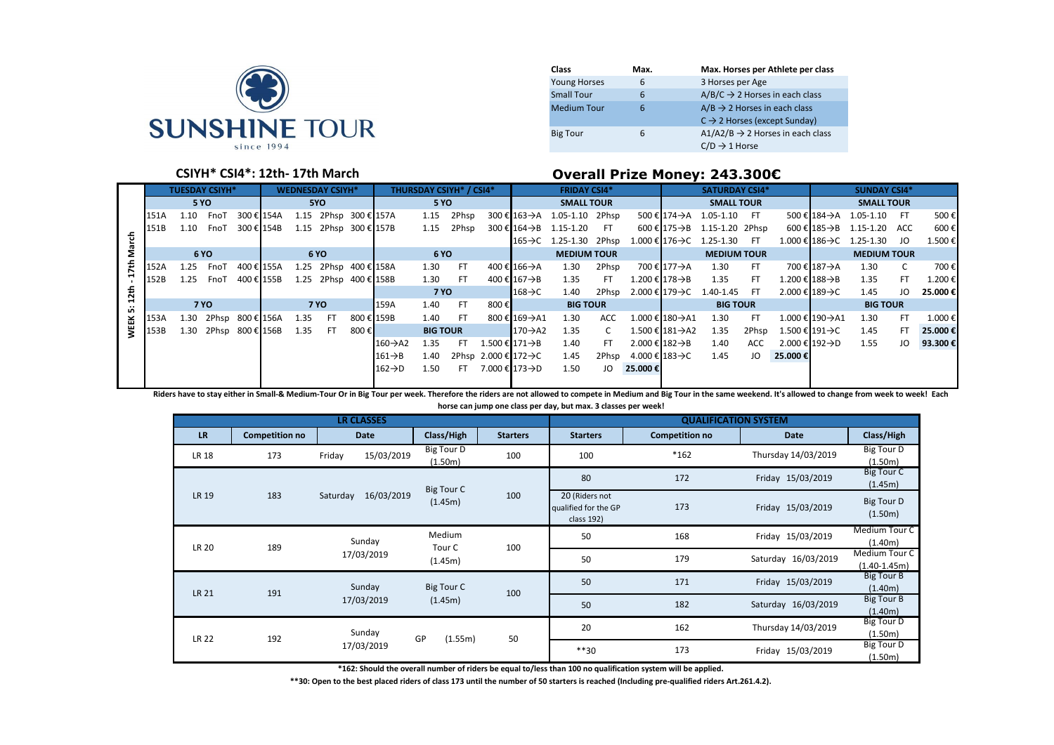

| <b>Class</b>        | Max. | Max. Horses per Athlete per class            |
|---------------------|------|----------------------------------------------|
| <b>Young Horses</b> | 6    | 3 Horses per Age                             |
| <b>Small Tour</b>   | 6    | $A/B/C \rightarrow 2$ Horses in each class   |
| <b>Medium Tour</b>  | 6    | $A/B \rightarrow 2$ Horses in each class     |
|                     |      | $C \rightarrow 2$ Horses (except Sunday)     |
| <b>Big Tour</b>     | 6    | $A1/A2/B \rightarrow 2$ Horses in each class |
|                     |      | $C/D \rightarrow 1$ Horse                    |

#### **CSIYH\* CSI4\*: 12th- 17th March Overall Prize Money: 243.300€**

|     | <b>TUESDAY CSIYH*</b><br><b>WEDNESDAY CSIYH*</b> |      |                               |             |             |             |                       |                   | <b>THURSDAY CSIYH* / CSI4*</b> |                    | <b>FRIDAY CSI4*</b> |                                         |                      |                                       |       | <b>SATURDAY CSI4*</b> |                               |                                             | <b>SUNDAY CSI4*</b> |         |                               |                                           |     |         |
|-----|--------------------------------------------------|------|-------------------------------|-------------|-------------|-------------|-----------------------|-------------------|--------------------------------|--------------------|---------------------|-----------------------------------------|----------------------|---------------------------------------|-------|-----------------------|-------------------------------|---------------------------------------------|---------------------|---------|-------------------------------|-------------------------------------------|-----|---------|
|     | <b>5 YO</b><br>5YO                               |      |                               | <b>5 YO</b> |             |             |                       | <b>SMALL TOUR</b> |                                |                    |                     | <b>SMALL TOUR</b>                       |                      |                                       |       | <b>SMALL TOUR</b>     |                               |                                             |                     |         |                               |                                           |     |         |
|     | 151A                                             | 1.10 | FnoT                          |             | 300 € 154A  |             | 1.15 2Phsp 300 € 157A |                   |                                | 1.15               | 2Phsp               |                                         |                      | 300 € 163 -> A 1.05-1.10 2Phsp        |       |                       |                               | 500 € 174 A 1.05-1.10 FT                    |                     |         |                               | 500 € 184 -> A 1.05-1.10 FT               |     | 500€    |
|     | 151B                                             | 1.10 | FnoT                          |             | 300 € 154B  |             | 1.15 2Phsp 300 € 157B |                   |                                | 1.15               | 2Phsp               |                                         |                      | $300 \in 164 \rightarrow B$ 1.15-1.20 | - FT  |                       |                               | $600 \in 175 \rightarrow B$ 1.15-1.20 2Phsp |                     |         |                               | $600 \in 185 \rightarrow B$ 1.15-1.20 ACC |     | 600€    |
|     |                                                  |      |                               |             |             |             |                       |                   |                                |                    |                     |                                         |                      | $165 \rightarrow C$ 1.25-1.30 2Phsp   |       |                       |                               | $1.000 \in 176 \rightarrow C$ 1.25-1.30 FT  |                     |         |                               | $1.000 \in 186 \rightarrow C$ 1.25-1.30   | JO  | 1.500€  |
| g   | 6 YO<br>6 YO                                     |      |                               |             |             | <b>6 YO</b> |                       |                   |                                | <b>MEDIUM TOUR</b> |                     |                                         | <b>MEDIUM TOUR</b>   |                                       |       |                       | <b>MEDIUM TOUR</b>            |                                             |                     |         |                               |                                           |     |         |
| ᅕ   | 152A                                             | 1.25 | FnoT                          | 400 € 155A  |             |             | 1.25 2Phsp 400 € 158A |                   |                                | 1.30               | - FT                |                                         | 400 € 166→A          | 1.30                                  | 2Phsp |                       | 700 € 177→A                   | 1.30                                        | FT.                 |         | 700 € 187→A                   | 1.30                                      | C   | 700€    |
|     | 152B                                             | 1.25 | FnoT                          | 400 € 155B  |             |             | 1.25 2Phsp 400 € 158B |                   |                                | 1.30               | - FT                |                                         | 400 € 167→B          | 1.35                                  | FT.   |                       | $1.200 \in 178 \rightarrow B$ | 1.35                                        | FT.                 |         | $1.200 \in 188 \rightarrow B$ | 1.35                                      | FT. | 1.200€  |
| 저   |                                                  |      |                               |             |             |             |                       |                   |                                | <b>7 YO</b>        |                     |                                         | $168 \rightarrow C$  | 1.40                                  | 2Phsp |                       |                               | 2.000 € 179 - C 1.40-1.45 FT                |                     |         | 2.000 € 189→C                 | 1.45                                      | JO  | 25.000€ |
| ΰń. |                                                  |      | <b>7 YO</b>                   |             | <b>7 YO</b> |             |                       |                   | <b>159A</b>                    | 1.40               | - FT                | 800€                                    |                      | <b>BIG TOUR</b>                       |       |                       |                               | <b>BIG TOUR</b>                             |                     |         |                               | <b>BIG TOUR</b>                           |     |         |
|     | 153A                                             |      | 1.30 2Phsp 800 € 156A 1.35 FT |             |             |             |                       |                   | 800 € 159B                     | 1.40               | - FT                |                                         | 800 € 169→A1         | 1.30                                  | ACC   |                       | 1.000 € 180->A1               | 1.30                                        | FT.                 |         | 1.000 € 190 $\rightarrow$ A1  | 1.30                                      | FT. | 1.000€  |
|     | 153B                                             |      | 1.30 2Phsp 800 € 156B         |             |             | 1.35 FT     |                       | 800€              |                                | <b>BIG TOUR</b>    |                     |                                         | $170 \rightarrow A2$ | 1.35                                  | C.    |                       | 1.500 € 181 $\rightarrow$ A2  | 1.35                                        | 2Phsp               |         | 1.500 € 191→C                 | 1.45                                      | FT. | 25.000€ |
|     |                                                  |      |                               |             |             |             |                       |                   | $160 \rightarrow A2$           | 1.35               | FT                  | 1.500 € 171→B                           |                      | 1.40                                  | FT.   |                       | $2.000 \in 182 \rightarrow B$ | 1.40                                        | ACC                 |         | 2.000 € 192→D                 | 1.55                                      | JO  | 93.300€ |
|     |                                                  |      |                               |             |             |             |                       |                   | $161 \rightarrow B$            | 1.40               |                     | 2Phsp 2.000€ 172->C                     |                      | 1.45                                  | 2Phsp |                       | 4.000 € 183→C                 | 1.45                                        | JO                  | 25.000€ |                               |                                           |     |         |
|     |                                                  |      |                               |             |             |             |                       |                   | $162 \rightarrow D$            | 1.50               |                     | FT 7.000 $\epsilon$ 173 $\rightarrow$ D |                      | 1.50                                  | JO    | 25.000€               |                               |                                             |                     |         |                               |                                           |     |         |
|     |                                                  |      |                               |             |             |             |                       |                   |                                |                    |                     |                                         |                      |                                       |       |                       |                               |                                             |                     |         |                               |                                           |     |         |

**Riders have to stay either in Small-& Medium-Tour Or in Big Tour per week. Therefore the riders are not allowed to compete in Medium and Big Tour in the same weekend. It's allowed to change from week to week! Each horse can jump one class per day, but max. 3 classes per week!**

|              |                       | <b>LR CLASSES</b>      |                       |                 | <b>QUALIFICATION SYSTEM</b>                          |                       |                     |                                   |  |  |  |
|--------------|-----------------------|------------------------|-----------------------|-----------------|------------------------------------------------------|-----------------------|---------------------|-----------------------------------|--|--|--|
| <b>LR</b>    | <b>Competition no</b> | <b>Date</b>            | Class/High            | <b>Starters</b> | <b>Starters</b>                                      | <b>Competition no</b> | Date                | Class/High                        |  |  |  |
| <b>LR 18</b> | 173                   | 15/03/2019<br>Friday   | Big Tour D<br>(1.50m) | 100             | 100                                                  | *162                  | Thursday 14/03/2019 | <b>Big Tour D</b><br>(1.50m)      |  |  |  |
|              |                       |                        | Big Tour C            |                 | 80                                                   | 172                   | Friday 15/03/2019   | Big Tour C<br>(1.45m)             |  |  |  |
| LR 19        | 183                   | 16/03/2019<br>Saturday | (1.45m)               | 100             | 20 (Riders not<br>qualified for the GP<br>class 192) | 173                   | Friday 15/03/2019   | Big Tour D<br>(1.50m)             |  |  |  |
|              | 189                   | Sunday                 | Medium                |                 | 50                                                   | 168                   | Friday 15/03/2019   | Medium Tour C<br>(1.40m)          |  |  |  |
| <b>LR 20</b> |                       | 17/03/2019             | Tour C<br>(1.45m)     | 100             | 50                                                   | 179                   | Saturday 16/03/2019 | Medium Tour C<br>$(1.40 - 1.45m)$ |  |  |  |
| LR 21        | 191                   | Sunday                 | Big Tour C            | 100             | 50                                                   | 171                   | Friday 15/03/2019   | <b>Big Tour B</b><br>(1.40m)      |  |  |  |
|              |                       | 17/03/2019             | (1.45m)               |                 | 50                                                   | 182                   | Saturday 16/03/2019 | <b>Big Tour B</b><br>(1.40m)      |  |  |  |
| <b>LR 22</b> | 192                   | Sunday                 | GP<br>(1.55m)         |                 | 20                                                   | 162                   | Thursday 14/03/2019 | Big Tour D<br>(1.50m)             |  |  |  |
|              |                       | 17/03/2019             |                       | 50              | $***30$                                              | 173                   | Friday 15/03/2019   | Big Tour D<br>(1.50m)             |  |  |  |

**\*162: Should the overall number of riders be equal to/less than 100 no qualification system will be applied.**

**\*\*30: Open to the best placed riders of class 173 until the number of 50 starters is reached (Including pre-qualified riders Art.261.4.2).**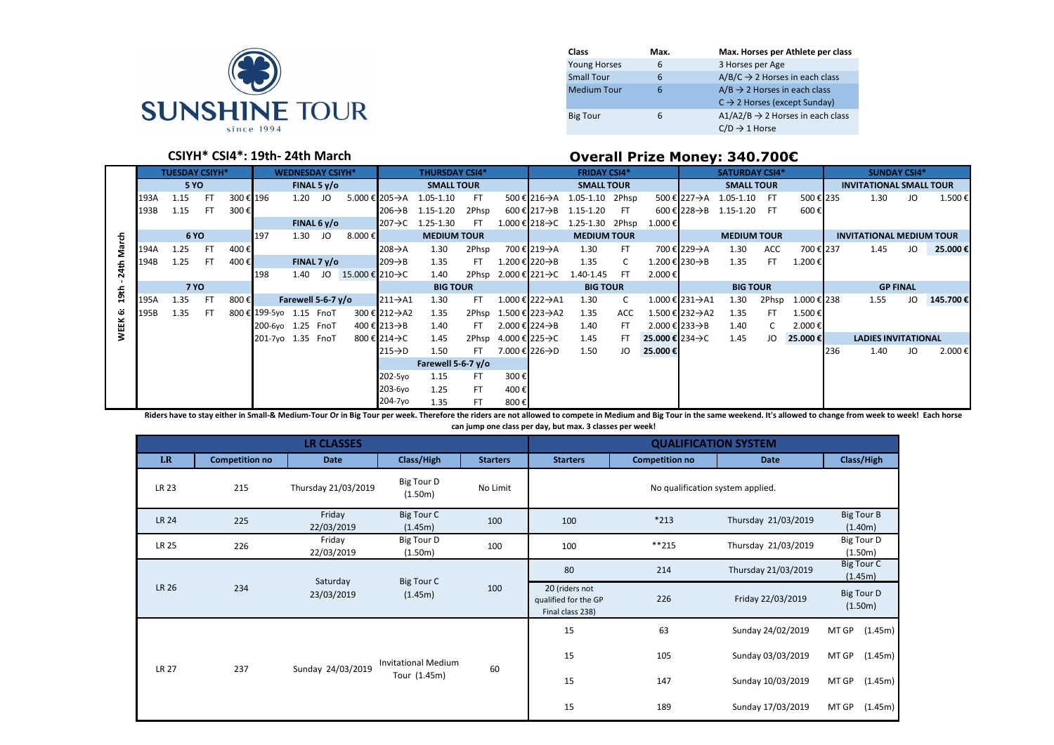

| Class               | Max. | Max. Horses per Athlete per class            |
|---------------------|------|----------------------------------------------|
| <b>Young Horses</b> | 6    | 3 Horses per Age                             |
| <b>Small Tour</b>   | 6    | $A/B/C \rightarrow 2$ Horses in each class   |
| <b>Medium Tour</b>  | 6    | $A/B \rightarrow 2$ Horses in each class     |
|                     |      | $C \rightarrow 2$ Horses (except Sunday)     |
| <b>Big Tour</b>     | 6    | $A1/A2/B \rightarrow 2$ Horses in each class |
|                     |      | $C/D \rightarrow 1$ Horse                    |

# **CSIYH\* CSI4\*: 19th- 24th March Overall Prize Money: 340.700€**

|             | <b>TUESDAY CSIYH*</b> |             |           | <b>WEDNESDAY CSIYH*</b> |                         |                       |               | <b>THURSDAY CSI4*</b>           |                       |                      | <b>FRIDAY CSI4*</b> |                                   |              |                    | <b>SATURDAY CSI4*</b> |                              |                              |                          | <b>SUNDAY CSI4*</b> |             |     |                                 |    |          |
|-------------|-----------------------|-------------|-----------|-------------------------|-------------------------|-----------------------|---------------|---------------------------------|-----------------------|----------------------|---------------------|-----------------------------------|--------------|--------------------|-----------------------|------------------------------|------------------------------|--------------------------|---------------------|-------------|-----|---------------------------------|----|----------|
|             |                       | <b>5 YO</b> |           |                         |                         |                       | FINAL 5 $v/o$ |                                 |                       | <b>SMALL TOUR</b>    |                     |                                   |              | <b>SMALL TOUR</b>  |                       |                              |                              | <b>SMALL TOUR</b>        |                     |             |     | <b>INVITATIONAL SMALL TOUR</b>  |    |          |
|             | 193A                  | 1.15        | -FT       | 300 € 196               |                         | 1.20                  | JO            |                                 | 5.000 € 205->A        | 1.05-1.10            | -FT                 |                                   | 500 € 216 A  | 1.05-1.10 2Phsp    |                       |                              |                              | 500 € 227 A 1.05-1.10 FT |                     | 500€ 235    |     | 1.30                            | JO | 1.500€   |
|             | 193B                  | 1.15        | <b>FT</b> | 300€                    |                         |                       |               |                                 | $206 \rightarrow B$   | 1.15-1.20            | 2Phsp               |                                   | 600 € 217→B  | 1.15-1.20          | - FT                  |                              | 600 € 228 AB                 | 1.15-1.20 FT             |                     | 600€        |     |                                 |    |          |
|             |                       |             |           |                         |                         |                       | FINAL $6y/o$  |                                 | $207 \rightarrow C$   | 1.25-1.30            | FT.                 | $1.000 \in$ 218→C                 |              | 1.25-1.30 2Phsp    |                       | 1.000 €                      |                              |                          |                     |             |     |                                 |    |          |
| 동           |                       | <b>6 YO</b> |           |                         | 197                     | 1.30 JO               |               | $8.000 \in$                     |                       | <b>MEDIUM TOUR</b>   |                     |                                   |              | <b>MEDIUM TOUR</b> |                       |                              |                              | <b>MEDIUM TOUR</b>       |                     |             |     | <b>INVITATIONAL MEDIUM TOUR</b> |    |          |
| ទឹ          | 194A                  | 1.25        | -FT       | 400€                    |                         |                       |               |                                 | $208 \rightarrow A$   | 1.30                 | 2Phsp               |                                   | 700 € 219->A | 1.30               | FT.                   |                              | 700 € 229 A                  | 1.30                     | ACC                 | 700€ 237    |     | 1.45                            | JO | 25.000€  |
| 4th         | 194B                  | 1.25        | <b>FT</b> | 400€                    |                         |                       | FINAL $7 y/o$ |                                 | $1209 \rightarrow B$  | 1.35                 | FT.                 | 1.200 € 220 AB                    |              | 1.35               | C.                    |                              | 1.200 € 230 $\rightarrow$ B  | 1.35                     | FT.                 | 1.200€      |     |                                 |    |          |
| Ñ           |                       |             |           |                         | 198                     | 1.40                  |               | JO 15.000 € 210 $\rightarrow$ C |                       | 1.40                 |                     | 2Phsp 2.000 € 221 -> C            |              | 1.40-1.45          | - FT                  | 2.000€                       |                              |                          |                     |             |     |                                 |    |          |
| 19th        |                       | <b>7 YO</b> |           |                         |                         |                       |               |                                 |                       | <b>BIG TOUR</b>      |                     |                                   |              | <b>BIG TOUR</b>    |                       |                              |                              | <b>BIG TOUR</b>          |                     |             |     | <b>GP FINAL</b>                 |    |          |
|             | 195A                  | 1.35        | -FT       | 800€                    |                         | Farewell 5-6-7 $y$ /0 |               |                                 | $ 211 \rightarrow A1$ | 1.30                 | FT.                 | 1.000 € 222->A1                   |              | 1.30               | C.                    |                              | 1.000 € 231 A1               | 1.30                     | 2Phsp               | 1.000 € 238 |     | 1.55                            | JO | 145.700€ |
| قة          | 195B                  | 1.35        | FT.       |                         | 800 € 199-5yo 1.15 FnoT |                       |               |                                 | 300 € 212 A2          | 1.35                 |                     | 2Phsp 1.500 € 223->A2             |              | 1.35               | ACC                   |                              | 1.500 € 232 $\rightarrow$ A2 | 1.35                     | FT.                 | 1.500€      |     |                                 |    |          |
| <b>WEEK</b> |                       |             |           |                         | 200-6yo 1.25 FnoT       |                       |               |                                 | 400 € 213 AB          | 1.40                 | FT.                 | 2.000 € 224 AB                    |              | 1.40               | FT                    |                              | 2.000 € 233 $\rightarrow$ B  | 1.40                     |                     | 2.000€      |     |                                 |    |          |
|             |                       |             |           |                         | 201-7yo 1.35 FnoT       |                       |               |                                 | 800 € 214→C           | 1.45                 |                     | 2Phsp 4.000 € 225 $\rightarrow$ C |              | 1.45               |                       | 25.000 € 234 $\rightarrow$ C |                              | 1.45                     | JO                  | 25.000€     |     | <b>LADIES INVITATIONAL</b>      |    |          |
|             |                       |             |           |                         |                         |                       |               |                                 | $215 \rightarrow D$   | 1.50                 | FT.                 | 7.000 € 226->D                    |              | 1.50               | JO                    | 25.000€                      |                              |                          |                     |             | 236 | 1.40                            | JO | 2.000€   |
|             |                       |             |           |                         |                         |                       |               |                                 |                       | Farewell 5-6-7 $v/o$ |                     |                                   |              |                    |                       |                              |                              |                          |                     |             |     |                                 |    |          |
|             |                       |             |           |                         |                         |                       |               |                                 | 202-5yo               | 1.15                 | FT.                 | 300€                              |              |                    |                       |                              |                              |                          |                     |             |     |                                 |    |          |
|             |                       |             |           |                         |                         |                       |               |                                 | 203-6yo               | 1.25                 | FT.                 | 400€                              |              |                    |                       |                              |                              |                          |                     |             |     |                                 |    |          |
|             |                       |             |           |                         |                         |                       |               |                                 | 204-7yo               | 1.35                 | <b>FT</b>           | 800€                              |              |                    |                       |                              |                              |                          |                     |             |     |                                 |    |          |

Riders have to stay either in Small-& Medium-Tour Or in Big Tour per week. Therefore the riders are not allowed to compete in Medium and Big Tour in the same weekend. It's allowed to change from week to week! Each horse

**can jump one class per day, but max. 3 classes per week!**

|              |                       | <b>LR CLASSES</b>      |                                            | <b>QUALIFICATION SYSTEM</b> |                                                            |                       |                     |                              |                              |  |  |
|--------------|-----------------------|------------------------|--------------------------------------------|-----------------------------|------------------------------------------------------------|-----------------------|---------------------|------------------------------|------------------------------|--|--|
| <b>LR</b>    | <b>Competition no</b> | <b>Date</b>            | Class/High                                 | <b>Starters</b>             | <b>Starters</b>                                            | <b>Competition no</b> | <b>Date</b>         |                              | Class/High                   |  |  |
| LR 23        | 215                   | Thursday 21/03/2019    | Big Tour D<br>(1.50m)                      | No Limit                    |                                                            |                       |                     |                              |                              |  |  |
| <b>LR 24</b> | 225                   | Friday<br>22/03/2019   | Big Tour C<br>(1.45m)                      | 100                         | 100                                                        | $*213$                | Thursday 21/03/2019 |                              | <b>Big Tour B</b><br>(1.40m) |  |  |
| <b>LR 25</b> | 226                   | Friday<br>22/03/2019   | Big Tour D<br>(1.50m)                      | 100                         | 100                                                        | $***215$              | Thursday 21/03/2019 |                              | Big Tour D<br>(1.50m)        |  |  |
|              |                       | Saturday<br>23/03/2019 | Big Tour C<br>(1.45m)                      | 100                         | 80                                                         | 214                   | Thursday 21/03/2019 | <b>Big Tour C</b><br>(1.45m) |                              |  |  |
| LR 26        | 234                   |                        |                                            |                             | 20 (riders not<br>qualified for the GP<br>Final class 238) | 226                   | Friday 22/03/2019   | Big Tour D<br>(1.50m)        |                              |  |  |
|              |                       |                        | <b>Invitational Medium</b><br>Tour (1.45m) |                             | 15                                                         | 63                    | Sunday 24/02/2019   | MT GP                        | (1.45m)                      |  |  |
| <b>LR 27</b> | 237                   | Sunday 24/03/2019      |                                            | 60                          | 15                                                         | 105                   | Sunday 03/03/2019   | (1.45m)<br>MT GP             |                              |  |  |
|              |                       |                        |                                            |                             | 15                                                         | 147                   | Sunday 10/03/2019   | (1.45m)<br>MT GP             |                              |  |  |
|              |                       |                        |                                            |                             | 15                                                         | 189                   | Sunday 17/03/2019   | MT GP                        | (1.45m)                      |  |  |